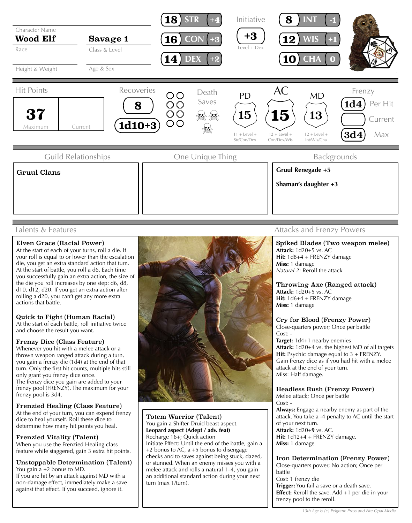

## Talents & Features

### Elven Grace (Racial Power)

At the start of each of your turns, roll a die. If your roll is equal to or lower than the escalation die, you get an extra standard action that turn. At the start of battle, you roll a d6. Each time you successfully gain an extra action, the size of the die you roll increases by one step: d6, d8, d10, d12, d20. If you get an extra action after rolling a d20, you can't get any more extra actions that battle.

# Quick to Fight (Human Racial)

At the start of each battle, roll initiative twice and choose the result you want.

### Frenzy Dice (Class Feature)

Whenever you hit with a melee attack or a thrown weapon ranged attack during a turn, you gain a frenzy die (1d4) at the end of that turn. Only the first hit counts, multiple hits still only grant you frenzy dice once. The frenzy dice you gain are added to your frenzy pool (FRENZY). The maximum for your frenzy pool is 3d4.

#### Frenzied Healing (Class Feature)

At the end of your turn, you can expend frenzy dice to heal yourself. Roll these dice to determine how many hit points you heal.

### Frenzied Vitality (Talent)

When you use the Frenzied Healing class feature while staggered, gain 3 extra hit points.

Unstoppable Determination (Talent) You gain a +2 bonus to MD.

If you are hit by an attack against MD with a non-damage effect, immediately make a save against that effect. If you succeed, ignore it.



#### Totem Warrior (Talent) You gain a Shifter Druid beast aspect. **Leopard aspect (Adept / adv. feat)** Recharge 16+; Quick action Initiate Effect: Until the end of the battle, gain a +2 bonus to AC, a +5 bonus to disengage checks and to saves against being stuck, dazed, or stunned. When an enemy misses you with a melee attack and rolls a natural 1–4, you gain an additional standard action during your next turn (max 1/turn).

# Attacks and Frenzy Powers

Spiked Blades (Two weapon melee) **Attack:** 1d20+5 vs. AC **Hit:** 1d8+4 + FRENZY damage **Miss:** 1 damage *Natural 2:* Reroll the attack

Throwing Axe (Ranged attack) **Attack:** 1d20+5 vs. AC **Hit:** 1d6+4 + FRENZY damage **Miss:** 1 damage

### Cry for Blood (Frenzy Power)

Close-quarters power; Once per battle Cost: -

**Target:** 1d4+1 nearby enemies **Attack:** 1d20+4 vs. the highest MD of all targets **Hit:** Psychic damage equal to 3 + FRENZY. Gain frenzy dice as if you had hit with a melee attack at the end of your turn. Miss: Half damage.

# Headless Rush (Frenzy Power)

Melee attack; Once per battle Cost: - **Always:** Engage a nearby enemy as part of the attack. You take a -4 penalty to AC until the start of your next turn.

**Attack:** 1d20+**9** vs. AC. **Hit:** 1d12+4 + FRENZY damage. **Miss:** 1 damage

Iron Determination (Frenzy Power) Close-quarters power; No action; Once per battle Cost: 1 frenzy die **Trigger:** You fail a save or a death save. **Effect:** Reroll the save. Add +1 per die in your frenzy pool to the reroll.